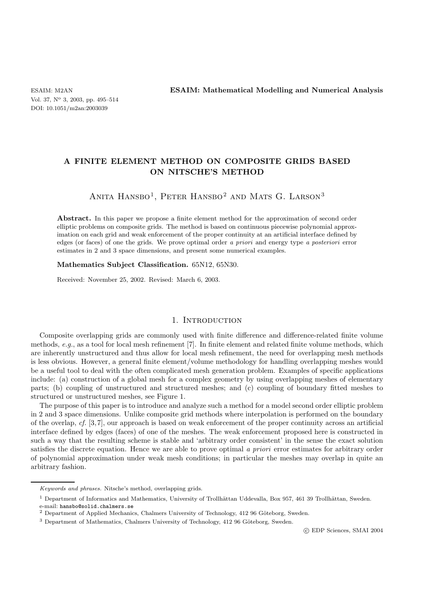# **A FINITE ELEMENT METHOD ON COMPOSITE GRIDS BASED ON NITSCHE'S METHOD**

ANITA HANSBO<sup>1</sup>, PETER HANSBO<sup>2</sup> AND MATS G. LARSON<sup>3</sup>

Abstract. In this paper we propose a finite element method for the approximation of second order elliptic problems on composite grids. The method is based on continuous piecewise polynomial approximation on each grid and weak enforcement of the proper continuity at an artificial interface defined by edges (or faces) of one the grids. We prove optimal order *a priori* and energy type *a posteriori* error estimates in 2 and 3 space dimensions, and present some numerical examples.

**Mathematics Subject Classification.** 65N12, 65N30.

Received: November 25, 2002. Revised: March 6, 2003.

### 1. INTRODUCTION

Composite overlapping grids are commonly used with finite difference and difference-related finite volume methods, *e.g.*, as a tool for local mesh refinement [7]. In finite element and related finite volume methods, which are inherently unstructured and thus allow for local mesh refinement, the need for overlapping mesh methods is less obvious. However, a general finite element/volume methodology for handling overlapping meshes would be a useful tool to deal with the often complicated mesh generation problem. Examples of specific applications include: (a) construction of a global mesh for a complex geometry by using overlapping meshes of elementary parts; (b) coupling of unstructured and structured meshes; and (c) coupling of boundary fitted meshes to structured or unstructured meshes, see Figure 1.

The purpose of this paper is to introduce and analyze such a method for a model second order elliptic problem in 2 and 3 space dimensions. Unlike composite grid methods where interpolation is performed on the boundary of the overlap, *cf.* [3, 7], our approach is based on weak enforcement of the proper continuity across an artificial interface defined by edges (faces) of one of the meshes. The weak enforcement proposed here is constructed in such a way that the resulting scheme is stable and 'arbitrary order consistent' in the sense the exact solution satisfies the discrete equation. Hence we are able to prove optimal *a priori* error estimates for arbitrary order of polynomial approximation under weak mesh conditions; in particular the meshes may overlap in quite an arbitrary fashion.

*Keywords and phrases.* Nitsche's method, overlapping grids.

 $1$  Department of Informatics and Mathematics, University of Trollhättan Uddevalla, Box 957, 461 39 Trollhättan, Sweden. e-mail: hansbo@solid.chalmers.se

 $2$  Department of Applied Mechanics, Chalmers University of Technology, 412 96 Göteborg, Sweden.

 $3$  Department of Mathematics, Chalmers University of Technology, 412 96 Göteborg, Sweden.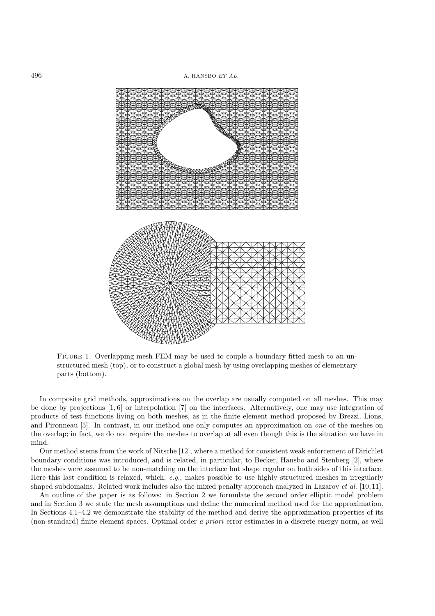

FIGURE 1. Overlapping mesh FEM may be used to couple a boundary fitted mesh to an unstructured mesh (top), or to construct a global mesh by using overlapping meshes of elementary parts (bottom).

In composite grid methods, approximations on the overlap are usually computed on all meshes. This may be done by projections [1, 6] or interpolation [7] on the interfaces. Alternatively, one may use integration of products of test functions living on both meshes, as in the finite element method proposed by Brezzi, Lions, and Pironneau [5]. In contrast, in our method one only computes an approximation on *one* of the meshes on the overlap; in fact, we do not require the meshes to overlap at all even though this is the situation we have in mind.

Our method stems from the work of Nitsche [12], where a method for consistent weak enforcement of Dirichlet boundary conditions was introduced, and is related, in particular, to Becker, Hansbo and Stenberg [2], where the meshes were assumed to be non-matching on the interface but shape regular on both sides of this interface. Here this last condition is relaxed, which, *e.g.*, makes possible to use highly structured meshes in irregularly shaped subdomains. Related work includes also the mixed penalty approach analyzed in Lazarov *et al.* [10, 11].

An outline of the paper is as follows: in Section 2 we formulate the second order elliptic model problem and in Section 3 we state the mesh assumptions and define the numerical method used for the approximation. In Sections 4.1–4.2 we demonstrate the stability of the method and derive the approximation properties of its (non-standard) finite element spaces. Optimal order *a priori* error estimates in a discrete energy norm, as well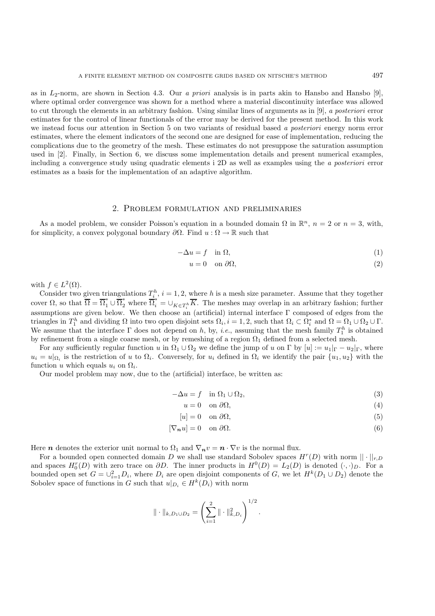as in L2-norm, are shown in Section 4.3. Our *a priori* analysis is in parts akin to Hansbo and Hansbo [9], where optimal order convergence was shown for a method where a material discontinuity interface was allowed to cut through the elements in an arbitrary fashion. Using similar lines of arguments as in [9], *a posteriori* error estimates for the control of linear functionals of the error may be derived for the present method. In this work we instead focus our attention in Section 5 on two variants of residual based *a posteriori* energy norm error estimates, where the element indicators of the second one are designed for ease of implementation, reducing the complications due to the geometry of the mesh. These estimates do not presuppose the saturation assumption used in [2]. Finally, in Section 6, we discuss some implementation details and present numerical examples, including a convergence study using quadratic elements i 2D as well as examples using the *a posteriori* error estimates as a basis for the implementation of an adaptive algorithm.

#### 2. Problem formulation and preliminaries

As a model problem, we consider Poisson's equation in a bounded domain  $\Omega$  in  $\mathbb{R}^n$ ,  $n = 2$  or  $n = 3$ , with, for simplicity, a convex polygonal boundary  $\partial\Omega$ . Find  $u : \Omega \to \mathbb{R}$  such that

$$
-\Delta u = f \quad \text{in } \Omega,\tag{1}
$$

$$
u = 0 \quad \text{on } \partial\Omega,\tag{2}
$$

with  $f \in L^2(\Omega)$ .

Consider two given triangulations  $T_{i}^{h}$ ,  $i = 1, 2$ , where h is a mesh size parameter. Assume that they together cover  $\Omega$ , so that  $\overline{\Omega} = \overline{\Omega}_1^* \cup \overline{\Omega}_2^*$  where  $\overline{\Omega}_i^* = \cup_{K \in T_i^h} \overline{K}$ . The meshes may overlap in an arbitrary fashion; further assumptions are given below. We then choose an (artificial) internal interface Γ composed of edges from the triangles in  $T_1^h$  and dividing  $\Omega$  into two open disjoint sets  $\Omega_i$ ,  $i = 1, 2$ , such that  $\Omega_i \subset \Omega_i^*$  and  $\Omega = \Omega_1 \cup \Omega_2 \cup \Gamma$ . We assume that the interface  $\Gamma$  does not depend on h, by, *i.e.*, assuming that the mesh family  $T_1^h$  is obtained by refinement from a single coarse mesh, or by remeshing of a region  $\Omega_1$  defined from a selected mesh.

For any sufficiently regular function u in  $\Omega_1 \cup \Omega_2$  we define the jump of u on  $\Gamma$  by  $[u] := u_1|_{\Gamma} - u_2|_{\Gamma}$ , where  $u_i = u|_{\Omega_i}$  is the restriction of u to  $\Omega_i$ . Conversely, for  $u_i$  defined in  $\Omega_i$  we identify the pair  $\{u_1, u_2\}$  with the function u which equals  $u_i$  on  $\Omega_i$ .

Our model problem may now, due to the (artificial) interface, be written as:

$$
-\Delta u = f \quad \text{in } \Omega_1 \cup \Omega_2,\tag{3}
$$

$$
u = 0 \quad \text{on } \partial\Omega,\tag{4}
$$

$$
[u] = 0 \quad \text{on } \partial\Omega,\tag{5}
$$

$$
[\nabla_n u] = 0 \quad \text{on } \partial \Omega. \tag{6}
$$

Here *n* denotes the exterior unit normal to  $\Omega_1$  and  $\nabla_n v = n \cdot \nabla v$  is the normal flux.

For a bounded open connected domain D we shall use standard Sobolev spaces  $H^r(D)$  with norm  $|| \cdot ||_{r,D}$ and spaces  $H_0^r(D)$  with zero trace on  $\partial D$ . The inner products in  $H^0(D) = L_2(D)$  is denoted  $(\cdot, \cdot)_D$ . For a bounded open set  $G = \bigcup_{i=1}^{2} D_i$ , where  $D_i$  are open disjoint components of G, we let  $H^k(D_1 \cup D_2)$  denote the Sobolev space of functions in G such that  $u|_{D_i} \in H^k(D_i)$  with norm

$$
\|\cdot\|_{k,D_1\cup D_2} = \left(\sum_{i=1}^2 \|\cdot\|_{k,D_i}^2\right)^{1/2}.
$$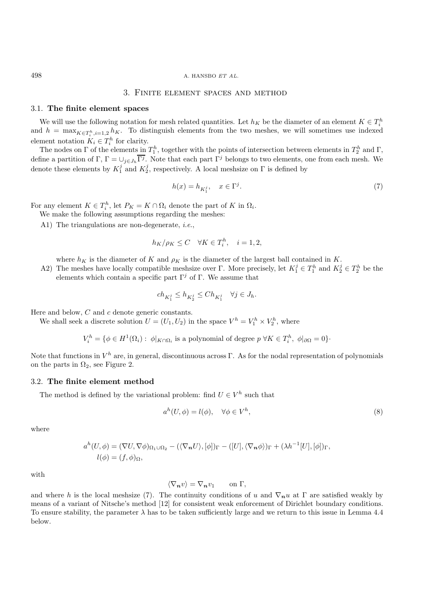### 3. Finite element spaces and method

#### 3.1. **The finite element spaces**

We will use the following notation for mesh related quantities. Let  $h_K$  be the diameter of an element  $K \in T_i^h$ and  $h = \max_{K \in T_i^h, i=1,2} h_K$ . To distinguish elements from the two meshes, we will sometimes use indexed element notation  $K_i \in T_i^h$  for clarity.

The nodes on  $\Gamma$  of the elements in  $T_1^h$ , together with the points of intersection between elements in  $T_2^h$  and  $\Gamma$ , define a partition of Γ,  $\Gamma = \bigcup_{j \in J_h} \overline{\Gamma^j}$ . Note that each part  $\Gamma^j$  belongs to two elements, one from each mesh. We denote these elements by  $K_1^j$  and  $K_2^j$ , respectively. A local meshsize on  $\Gamma$  is defined by

$$
h(x) = h_{K_1^j}, \quad x \in \Gamma^j. \tag{7}
$$

For any element  $K \in T_i^h$ , let  $P_K = K \cap \Omega_i$  denote the part of K in  $\Omega_i$ .

We make the following assumptions regarding the meshes:

A1) The triangulations are non-degenerate, *i.e.*,

$$
h_K/\rho_K \le C \quad \forall K \in T_i^h, \quad i = 1, 2,
$$

where  $h_K$  is the diameter of K and  $\rho_K$  is the diameter of the largest ball contained in K.

A2) The meshes have locally compatible meshsize over  $\Gamma$ . More precisely, let  $K_1^j \in T_1^h$  and  $K_2^j \in T_2^h$  be the elements which contain a specific part  $\Gamma^j$  of Γ. We assume that

$$
ch_{K_1^j} \le h_{K_2^j} \le Ch_{K_1^j} \quad \forall j \in J_h.
$$

Here and below, C and c denote generic constants.

We shall seek a discrete solution  $U = (U_1, U_2)$  in the space  $V^h = V_1^h \times V_2^h$ , where

$$
V_i^h = \{ \phi \in H^1(\Omega_i) : \phi|_{K \cap \Omega_i} \text{ is a polynomial of degree } p \,\forall K \in T_i^h, \phi|_{\partial \Omega} = 0 \}.
$$

Note that functions in  $V^h$  are, in general, discontinuous across Γ. As for the nodal representation of polynomials on the parts in  $\Omega_2$ , see Figure 2.

#### 3.2. **The finite element method**

The method is defined by the variational problem: find  $U \in V^h$  such that

$$
ah(U, \phi) = l(\phi), \quad \forall \phi \in V^h,
$$
\n(8)

where

$$
a^{h}(U,\phi) = (\nabla U, \nabla \phi)_{\Omega_{1}\cup\Omega_{2}} - (\langle \nabla_{\boldsymbol{n}}U \rangle, [\phi])_{\Gamma} - ([U], \langle \nabla_{\boldsymbol{n}}\phi \rangle)_{\Gamma} + (\lambda h^{-1}[U], [\phi])_{\Gamma},
$$
  

$$
l(\phi) = (f,\phi)_{\Omega},
$$

with

$$
\langle \nabla_{\mathbf{n}} v \rangle = \nabla_{\mathbf{n}} v_1 \qquad \text{on } \Gamma,
$$

and where h is the local meshsize (7). The continuity conditions of u and  $\nabla_n u$  at  $\Gamma$  are satisfied weakly by means of a variant of Nitsche's method [12] for consistent weak enforcement of Dirichlet boundary conditions. To ensure stability, the parameter  $\lambda$  has to be taken sufficiently large and we return to this issue in Lemma 4.4 below.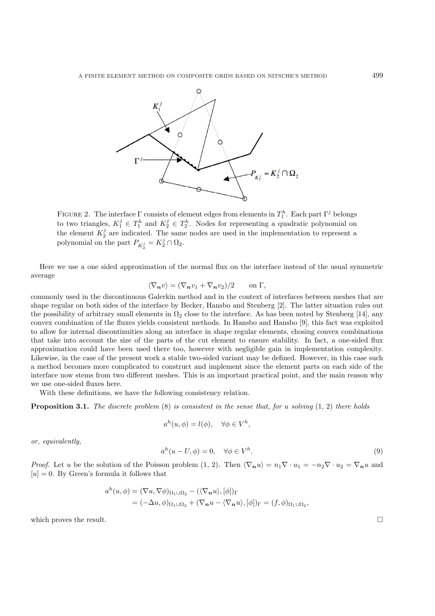

FIGURE 2. The interface  $\Gamma$  consists of element edges from elements in  $T_1^h$ . Each part  $\Gamma^j$  belongs to two triangles,  $K_1^j \in T_1^h$  and  $K_2^j \in T_2^h$ . Nodes for representing a quadratic polynomial on the element  $K_2^j$  are indicated. The same nodes are used in the implementation to represent a polynomial on the part  $P_{K_2^j} = K_2^j \cap \Omega_2$ .

Here we use a one sided approximation of the normal flux on the interface instead of the usual symmetric average

$$
\langle \nabla_{\mathbf{n}} v \rangle = (\nabla_{\mathbf{n}} v_1 + \nabla_{\mathbf{n}} v_2)/2 \qquad \text{on } \Gamma,
$$

commonly used in the discontinuous Galerkin method and in the context of interfaces between meshes that are shape regular on both sides of the interface by Becker, Hansbo and Stenberg [2]. The latter situation rules out the possibility of arbitrary small elements in  $\Omega_2$  close to the interface. As has been noted by Stenberg [14], any convex combination of the fluxes yields consistent methods. In Hansbo and Hansbo [9], this fact was exploited to allow for internal discontinuities along an interface in shape regular elements, chosing convex combinations that take into account the size of the parts of the cut element to ensure stability. In fact, a one-sided flux approximation could have been used there too, however with negligible gain in implementation complexity. Likewise, in the case of the present work a stable two-sided variant may be defined. However, in this case such a method becomes more complicated to construct and implement since the element parts on each side of the interface now stems from two different meshes. This is an important practical point, and the main reason why we use one-sided fluxes here.

With these definitions, we have the following consistency relation.

**Proposition 3.1.** *The discrete problem* (8) *is consistent in the sense that, for* u *solving* (1, 2) *there holds*

$$
a^h(u, \phi) = l(\phi), \quad \forall \phi \in V^h,
$$

*or, equivalently,*

$$
a^h(u - U, \phi) = 0, \quad \forall \phi \in V^h. \tag{9}
$$

*Proof.* Let u be the solution of the Poisson problem  $(1, 2)$ . Then  $\langle \nabla_n u \rangle = n_1 \nabla \cdot u_1 = -n_2 \nabla \cdot u_2 = \nabla_n u$  and  $[u] = 0$ . By Green's formula it follows that

$$
a^{h}(u, \phi) = (\nabla u, \nabla \phi)_{\Omega_{1} \cup \Omega_{2}} - (\langle \nabla_{\mathbf{n}} u \rangle, [\phi])_{\Gamma}
$$
  
=  $(-\Delta u, \phi)_{\Omega_{1} \cup \Omega_{2}} + (\nabla_{\mathbf{n}} u - \langle \nabla_{\mathbf{n}} u \rangle, [\phi])_{\Gamma} = (f, \phi)_{\Omega_{1} \cup \Omega_{2}},$ 

which proves the result.  $\Box$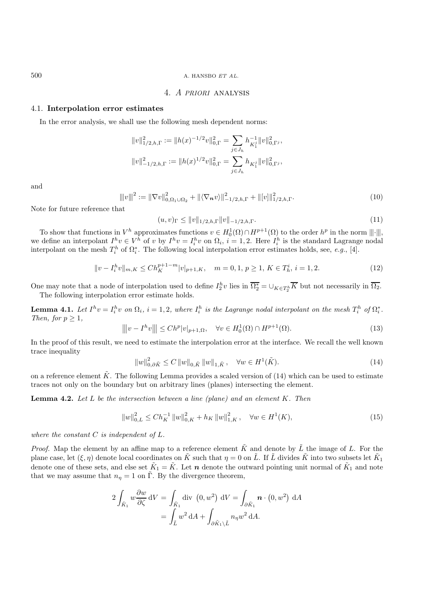### 4. *A PRIORI* analysis

### 4.1. **Interpolation error estimates**

In the error analysis, we shall use the following mesh dependent norms:

$$
\begin{aligned} &\|v\|_{1/2,h,\Gamma}^2:=\|h(x)^{-1/2}v\|_{0,\Gamma}^2=\sum_{j\in J_h}h_{K_1^j}^{-1}\|v\|_{0,\Gamma^j}^2,\\ &\|v\|_{-1/2,h,\Gamma}^2:=\|h(x)^{1/2}v\|_{0,\Gamma}^2=\sum_{j\in J_h}h_{K_1^j}\|v\|_{0,\Gamma^j}^2, \end{aligned}
$$

and

$$
\| |v\|^{2} := \|\nabla v\|_{0,\Omega_{1}\cup\Omega_{2}}^{2} + \| \langle \nabla_{\boldsymbol{n}} v \rangle \|_{-1/2,h,\Gamma}^{2} + \| [v] \|_{1/2,h,\Gamma}^{2}.
$$
\n(10)

Note for future reference that

$$
(u, v)_{\Gamma} \le ||v||_{1/2, h, \Gamma} ||v||_{-1/2, h, \Gamma}.
$$
\n(11)

To show that functions in  $V^h$  approximates functions  $v \in H_0^1(\Omega) \cap H^{p+1}(\Omega)$  to the order  $h^p$  in the norm  $\|\cdot\|$ , we define an interpolant  $I^h v \in V^h$  of v by  $I^h v = I_i^h v$  on  $\Omega_i$ ,  $i = 1, 2$ . Here  $I_i^h$  is the standard Lagrange nodal interpolant on the mesh  $T_i^h$  of  $\Omega_i^*$ . The following local interpolation error estimates holds, see, *e.g.*, [4].

$$
||v - I_i^h v||_{m,K} \le Ch_K^{p+1-m} |v|_{p+1,K}, \quad m = 0, 1, p \ge 1, K \in T_h^i, i = 1, 2.
$$
 (12)

One may note that a node of interpolation used to define  $I_2^h v$  lies in  $\overline{\Omega_2^*} = \cup_{K \in T_2^h} \overline{K}$  but not necessarily in  $\overline{\Omega_2}$ . The following interpolation error estimate holds.

**Lemma 4.1.** Let  $I^h v = I_i^h v$  on  $\Omega_i$ ,  $i = 1, 2$ , where  $I_i^h$  is the Lagrange nodal interpolant on the mesh  $T_i^h$  of  $\Omega_i^*$ . *Then, for*  $p > 1$ *,* 

$$
\| |v - I^h v\| \le C h^p |v|_{p+1, \Omega}, \quad \forall v \in H_0^1(\Omega) \cap H^{p+1}(\Omega). \tag{13}
$$

In the proof of this result, we need to estimate the interpolation error at the interface. We recall the well known trace inequality

$$
||w||_{0,\partial \tilde{K}}^{2} \leq C ||w||_{0,\tilde{K}} ||w||_{1,\tilde{K}}, \quad \forall w \in H^{1}(\tilde{K}).
$$
\n(14)

on a reference element  $\tilde{K}$ . The following Lemma provides a scaled version of (14) which can be used to estimate traces not only on the boundary but on arbitrary lines (planes) intersecting the element.

**Lemma 4.2.** *Let* L *be the intersection between a line (plane) and an element* K*. Then*

$$
||w||_{0,L}^{2} \le Ch_{K}^{-1} ||w||_{0,K}^{2} + h_{K} ||w||_{1,K}^{2}, \quad \forall w \in H^{1}(K),
$$
\n(15)

*where the constant* C *is independent of* L*.*

*Proof.* Map the element by an affine map to a reference element  $\tilde{K}$  and denote by  $\tilde{L}$  the image of L. For the plane case, let  $(\xi, \eta)$  denote local coordinates on  $\tilde{K}$  such that  $\eta = 0$  on  $\tilde{L}$ . If  $\tilde{L}$  divides  $\tilde{K}$  into two subsets let  $\tilde{K}_1$ denote one of these sets, and else set  $\tilde{K}_1 = \tilde{K}$ . Let *n* denote the outward pointing unit normal of  $\tilde{K}_1$  and note that we may assume that  $n_n = 1$  on  $\tilde{\Gamma}$ . By the divergence theorem,

$$
2\int_{\tilde{K}_1} w \frac{\partial w}{\partial \zeta} dV = \int_{\tilde{K}_1} \text{div} (0, w^2) dV = \int_{\partial \tilde{K}_1} \mathbf{n} \cdot (0, w^2) dA
$$

$$
= \int_{\tilde{L}} w^2 dA + \int_{\partial \tilde{K}_1 \setminus \tilde{L}} n_{\eta} w^2 dA.
$$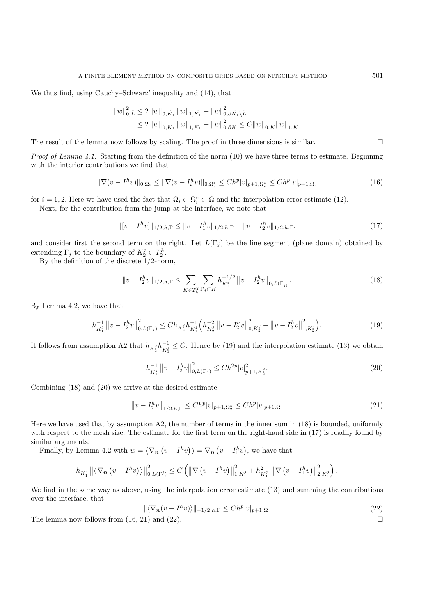We thus find, using Cauchy–Schwarz' inequality and (14), that

$$
\|w\|_{0,\tilde{L}}^{2} \leq 2 \|w\|_{0,\tilde{K}_{1}} \|w\|_{1,\tilde{K}_{1}} + \|w\|_{0,\partial \tilde{K}_{1}\setminus \tilde{L}}^{2}
$$
  

$$
\leq 2 \|w\|_{0,\tilde{K}_{1}} \|w\|_{1,\tilde{K}_{1}} + \|w\|_{0,\partial \tilde{K}}^{2} \leq C \|w\|_{0,\tilde{K}} \|w\|_{1,\tilde{K}}.
$$

The result of the lemma now follows by scaling. The proof in three dimensions is similar.  $\square$ 

*Proof of Lemma 4.1.* Starting from the definition of the norm (10) we have three terms to estimate. Beginning with the interior contributions we find that

$$
\|\nabla(v - I^h v)\|_{0,\Omega_i} \le \|\nabla(v - I^h_i v)\|_{0,\Omega_i^*} \le Ch^p |v|_{p+1,\Omega_i^*} \le Ch^p |v|_{p+1,\Omega},\tag{16}
$$

for  $i = 1, 2$ . Here we have used the fact that  $\Omega_i \subset \Omega_i^* \subset \Omega$  and the interpolation error estimate (12).

Next, for the contribution from the jump at the interface, we note that

$$
\| [v - I^h v] \|_{1/2, h, \Gamma} \le \| v - I_1^h v \|_{1/2, h, \Gamma} + \| v - I_2^h v \|_{1/2, h, \Gamma}.
$$
\n(17)

and consider first the second term on the right. Let  $L(\Gamma_i)$  be the line segment (plane domain) obtained by extending  $\Gamma_j$  to the boundary of  $K_2^j \in T_2^h$ .

By the definition of the discrete 1/2-norm,

$$
||v - I_2^h v||_{1/2, h, \Gamma} \le \sum_{K \in T_h^2} \sum_{\Gamma_j \subset K} h_{K_1^j}^{-1/2} ||v - I_2^h v||_{0, L(\Gamma_j)}.
$$
\n(18)

By Lemma 4.2, we have that

$$
h_{K_{1}^{j}}^{-1} \|v - I_{2}^{h}v\|_{0, L(\Gamma_{j})}^{2} \leq Ch_{K_{2}^{j}} h_{K_{1}^{j}}^{-1} \Big( h_{K_{2}^{j}}^{-2} \|v - I_{2}^{h}v\|_{0, K_{2}^{j}}^{2} + \|v - I_{2}^{h}v\|_{1, K_{2}^{j}}^{2} \Big). \tag{19}
$$

It follows from assumption A2 that  $h_{K_2^j} h_{K_1^j}^{-1} \leq C$ . Hence by (19) and the interpolation estimate (13) we obtain

$$
h_{K_1^j}^{-1} \|v - I_2^h v\|_{0, L(\Gamma^j)}^2 \le Ch^{2p} |v|_{p+1, K_2^j}^2.
$$
\n
$$
(20)
$$

Combining (18) and (20) we arrive at the desired estimate

$$
||v - I_2^h v||_{1/2, h, \Gamma} \le Ch^p |v|_{p+1, \Omega_2^*} \le Ch^p |v|_{p+1, \Omega}. \tag{21}
$$

Here we have used that by assumption A2, the number of terms in the inner sum in (18) is bounded, uniformly with respect to the mesh size. The estimate for the first term on the right-hand side in  $(17)$  is readily found by similar arguments.

Finally, by Lemma 4.2 with  $w = \langle \nabla_n (v - I^h v) \rangle = \nabla_n (v - I^h_1 v)$ , we have that

$$
h_{K_1^j} \left\| \left\langle \nabla_{\mathbf{n}} \left( v - I^h v \right) \right\rangle \right\|_{0, L(\Gamma^j)}^2 \leq C \left( \left\| \nabla \left( v - I_1^h v \right) \right\|_{1, K_1^j}^2 + h_{K_1^j}^2 \left\| \nabla \left( v - I_1^h v \right) \right\|_{2, K_1^j}^2 \right).
$$

We find in the same way as above, using the interpolation error estimate (13) and summing the contributions over the interface, that

$$
\|\langle \nabla_n(v - I^h v)\rangle\|_{-1/2,h,\Gamma} \le Ch^p |v|_{p+1,\Omega}.
$$
\n(22)

The lemma now follows from  $(16, 21)$  and  $(22)$ .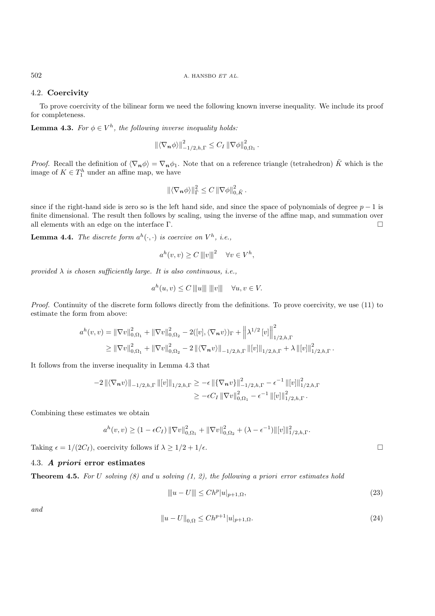### 4.2. **Coercivity**

To prove coercivity of the bilinear form we need the following known inverse inequality. We include its proof for completeness.

**Lemma 4.3.** *For*  $\phi \in V^h$ *, the following inverse inequality holds:* 

$$
\left\| \langle \nabla_{\boldsymbol{n}} \phi \rangle \right\|_{-1/2,h,\Gamma}^2 \leq C_I \left\| \nabla \phi \right\|_{0,\Omega_1}^2.
$$

*Proof.* Recall the definition of  $\langle \nabla_n \phi \rangle = \nabla_n \phi_1$ . Note that on a reference triangle (tetrahedron)  $\tilde{K}$  which is the image of  $K \in T_1^h$  under an affine map, we have

$$
\|\langle \nabla_{\boldsymbol{n}} \phi \rangle\|_{\tilde{\Gamma}}^2 \leq C \|\nabla \phi\|_{0,\tilde{K}}^2.
$$

since if the right-hand side is zero so is the left hand side, and since the space of polynomials of degree  $p - 1$  is finite dimensional. The result then follows by scaling, using the inverse of the affine map, and summation over all elements with an edge on the interface  $\Gamma$ .

**Lemma 4.4.** *The discrete form*  $a^h(\cdot, \cdot)$  *is coercive on*  $V^h$ *, i.e.,* 

$$
a^{h}(v,v) \ge C |||v|||^{2} \quad \forall v \in V^{h},
$$

*provided*  $\lambda$  *is chosen sufficiently large. It is also continuous, i.e.,* 

$$
a^h(u, v) \le C ||u|| || ||v|| \quad \forall u, v \in V.
$$

*Proof.* Continuity of the discrete form follows directly from the definitions. To prove coercivity, we use (11) to estimate the form from above:

$$
a^{h}(v,v) = \|\nabla v\|_{0,\Omega_{1}}^{2} + \|\nabla v\|_{0,\Omega_{2}}^{2} - 2([v], \langle \nabla_{\boldsymbol{n}} v \rangle)_{\Gamma} + \left\|\lambda^{1/2} [v]\right\|_{1/2,h,\Gamma}^{2}
$$

$$
\geq \|\nabla v\|_{0,\Omega_{1}}^{2} + \|\nabla v\|_{0,\Omega_{2}}^{2} - 2\left\|\langle \nabla_{\boldsymbol{n}} v \rangle\right\|_{-1/2,h,\Gamma} \left\|[v]\right\|_{1/2,h,\Gamma} + \lambda \left\|[v]\right\|_{1/2,h,\Gamma}^{2}.
$$

It follows from the inverse inequality in Lemma 4.3 that

$$
-2\left\|\langle \nabla_n v \rangle \right\|_{-1/2,h,\Gamma} \left\|[v]\right\|_{1/2,h,\Gamma} \geq -\epsilon \left\|\{\nabla_n v\}\right\|_{-1/2,h,\Gamma}^2 - \epsilon^{-1} \left\|[v]\right\|_{1/2,h,\Gamma}^2
$$

$$
\geq -\epsilon C_I \left\|\nabla v\right\|_{0,\Omega_1}^2 - \epsilon^{-1} \left\|[v]\right\|_{1/2,h,\Gamma}^2.
$$

Combining these estimates we obtain

$$
a^{h}(v,v) \ge (1 - \epsilon C_I) \|\nabla v\|_{0,\Omega_1}^2 + \|\nabla v\|_{0,\Omega_2}^2 + (\lambda - \epsilon^{-1}) \| [v] \|_{1/2,h,\Gamma}^2.
$$

Taking  $\epsilon = 1/(2C_I)$ , coercivity follows if  $\lambda \geq 1/2 + 1/\epsilon$ .

## 4.3. *A priori* **error estimates**

**Theorem 4.5.** *For* U *solving (8) and* u *solving (1, 2), the following a priori error estimates hold*

$$
||u - U|| \leq Ch^p |u|_{p+1,\Omega},
$$
\n(23)

*and*

$$
||u - U||_{0,\Omega} \le Ch^{p+1} |u|_{p+1,\Omega}.
$$
\n(24)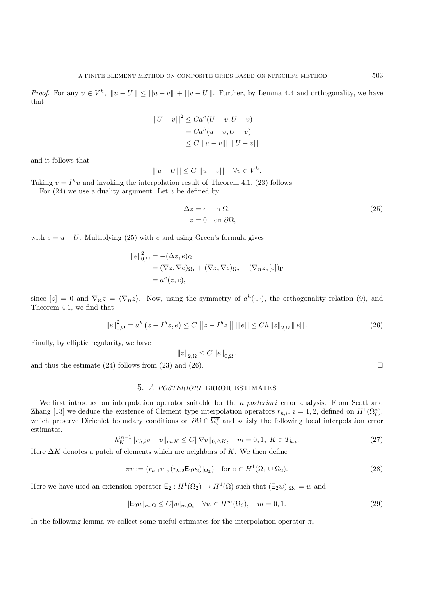*Proof.* For any  $v \in V^h$ ,  $||u - U|| \le ||u - v|| + ||v - U||$ . Further, by Lemma 4.4 and orthogonality, we have that

$$
|||U - v|||^{2} \leq Ca^{h}(U - v, U - v)
$$
  
=  $Ca^{h}(u - v, U - v)$   
 $\leq C ||u - v|| ||U - v||,$ 

and it follows that

$$
||u - U|| \le C ||u - v|| \quad \forall v \in V^h.
$$

Taking  $v = I^h u$  and invoking the interpolation result of Theorem 4.1, (23) follows.

For  $(24)$  we use a duality argument. Let z be defined by

$$
-\Delta z = e \quad \text{in } \Omega, \n z = 0 \quad \text{on } \partial \Omega,
$$
\n(25)

with  $e = u - U$ . Multiplying (25) with e and using Green's formula gives

$$
||e||_{0,\Omega}^{2} = -(\Delta z, e)_{\Omega}
$$
  
=  $(\nabla z, \nabla e)_{\Omega_{1}} + (\nabla z, \nabla e)_{\Omega_{2}} - (\nabla_{\mathbf{n}} z, [e])_{\Gamma}$   
=  $a^{h}(z, e),$ 

since  $[z] = 0$  and  $\nabla_n z = \langle \nabla_n z \rangle$ . Now, using the symmetry of  $a^h(\cdot, \cdot)$ , the orthogonality relation (9), and Theorem 4.1, we find that

$$
\|e\|_{0,\Omega}^2 = a^h \left( z - I^h z, e \right) \le C \left( \|z - I^h z\| \right) \|\|e\| \le C h \, \|z\|_{2,\Omega} \, \|e\| \, . \tag{26}
$$

Finally, by elliptic regularity, we have

$$
||z||_{2,\Omega} \leq C ||e||_{0,\Omega},
$$

and thus the estimate (24) follows from (23) and (26).

## 5. *A POSTERIORI* error estimates

We first introduce an interpolation operator suitable for the *a posteriori* error analysis. From Scott and Zhang [13] we deduce the existence of Clement type interpolation operators  $r_{h,i}$ ,  $i = 1, 2$ , defined on  $H^1(\Omega_i^*),$ which preserve Dirichlet boundary conditions on  $\partial\Omega \cap \overline{\Omega_i^*}$  and satisfy the following local interpolation error estimates.

$$
h_K^{m-1} \|r_{h,i}v - v\|_{m,K} \le C \|\nabla v\|_{0,\Delta K}, \quad m = 0, 1, K \in T_{h,i}.
$$
\n
$$
(27)
$$

Here  $\Delta K$  denotes a patch of elements which are neighbors of K. We then define

$$
\pi v := (r_{h,1}v_1, (r_{h,2} \mathsf{E}_2 v_2)|_{\Omega_2}) \quad \text{for } v \in H^1(\Omega_1 \cup \Omega_2). \tag{28}
$$

Here we have used an extension operator  $\mathsf{E}_2 : H^1(\Omega_2) \to H^1(\Omega)$  such that  $(\mathsf{E}_2 w)|_{\Omega_2} = w$  and

$$
|\mathsf{E}_2 w|_{m,\Omega} \le C|w|_{m,\Omega_i} \quad \forall w \in H^m(\Omega_2), \quad m = 0, 1. \tag{29}
$$

In the following lemma we collect some useful estimates for the interpolation operator  $\pi$ .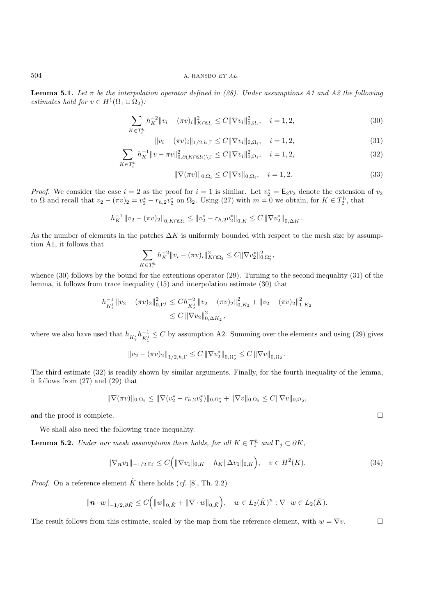**Lemma 5.1.** *Let*  $\pi$  *be the interpolation operator defined in (28). Under assumptions A1 and A2 the following estimates hold for*  $v \in H^1(\Omega_1 \cup \Omega_2)$ *:* 

$$
\sum_{K \in T_i^h} h_K^{-2} \|v_i - (\pi v)_i\|_{K \cap \Omega_i}^2 \le C \|\nabla v_i\|_{0, \Omega_i}^2, \quad i = 1, 2,
$$
\n(30)

$$
||v_i - (\pi v)_i||_{1/2, h, \Gamma} \le C ||\nabla v_i||_{0, \Omega_i}, \quad i = 1, 2,
$$
\n(31)

$$
\sum_{K \in T_i^h} h_K^{-1} \|v - \pi v\|_{0, \partial(K \cap \Omega_i) \setminus \Gamma}^2 \le C \|\nabla v_i\|_{0, \Omega_i}^2, \quad i = 1, 2,
$$
\n(32)

$$
\|\nabla(\pi v)\|_{0,\Omega_i} \le C \|\nabla v\|_{0,\Omega_i}, \quad i = 1,2. \tag{33}
$$

*Proof.* We consider the case  $i = 2$  as the proof for  $i = 1$  is similar. Let  $v_2^* = \mathsf{E}_2 v_2$  denote the extension of  $v_2$ to  $\Omega$  and recall that  $v_2 - (\pi v)_2 = v_2^* - r_{h,2}v_2^*$  on  $\Omega_2$ . Using (27) with  $m = 0$  we obtain, for  $K \in T_2^h$ , that

$$
h_K^{-1} \| v_2 - (\pi v)_2 \|_{0, K \cap \Omega_2} \leq \| v_2^* - r_{h,2} v_2^* \|_{0,K} \leq C \| \nabla v_2^* \|_{0,\Delta K}.
$$

As the number of elements in the patches  $\Delta K$  is uniformly bounded with respect to the mesh size by assumption A1, it follows that

$$
\sum_{K \in T_i^h} h_K^{-2} ||v_i - (\pi v)_i||^2_{K \cap \Omega_2} \leq C ||\nabla v_2^*||^2_{0, \Omega_2^*},
$$

whence (30) follows by the bound for the extentions operator (29). Turning to the second inequality (31) of the lemma, it follows from trace inequality (15) and interpolation estimate (30) that

$$
h_{K_1^j}^{-1} \|v_2 - (\pi v)_2\|_{0,\Gamma^j}^2 \le Ch_{K_2^j}^{-2} \|v_2 - (\pi v)_2\|_{0,K_2}^2 + \|v_2 - (\pi v)_2\|_{1,K_2}^2
$$
  

$$
\le C \|\nabla v_2\|_{0,\Delta K_2}^2,
$$

where we also have used that  $h_{K_2^j}h_{K_1^j}^{-1} \leq C$  by assumption A2. Summing over the elements and using (29) gives

$$
||v_2 - (\pi v)_2||_{1/2,h,\Gamma} \leq C ||\nabla v_2^*||_{0,\Omega_2^*} \leq C ||\nabla v||_{0,\Omega_2}.
$$

The third estimate (32) is readily shown by similar arguments. Finally, for the fourth inequality of the lemma, it follows from (27) and (29) that

$$
\|\nabla(\pi v)\|_{0,\Omega_2} \le \|\nabla(v_2^* - r_{h,2}v_2^*)\|_{0,\Omega_2^*} + \|\nabla v\|_{0,\Omega_2} \le C\|\nabla v\|_{0,\Omega_2},
$$

and the proof is complete.  $\Box$ 

We shall also need the following trace inequality.

**Lemma 5.2.** *Under our mesh assumptions there holds, for all*  $K \in T_1^h$  *and*  $\Gamma_j \subset \partial K$ *,* 

$$
\|\nabla_n v_1\|_{-1/2,\Gamma^j} \le C\Big(\|\nabla v_1\|_{0,K} + h_K\|\Delta v_1\|_{0,K}\Big), \quad v \in H^2(K). \tag{34}
$$

*Proof.* On a reference element  $\tilde{K}$  there holds (*cf.* [8], Th. 2.2)

$$
\|\mathbf{n} \cdot w\|_{-1/2, \partial \tilde{K}} \leq C\Big(\|w\|_{0, \tilde{K}} + \|\nabla \cdot w\|_{0, \tilde{K}}\Big), \quad w \in L_2(\tilde{K})^n : \nabla \cdot w \in L_2(\tilde{K}).
$$

The result follows from this estimate, scaled by the map from the reference element, with  $w = \nabla v$ .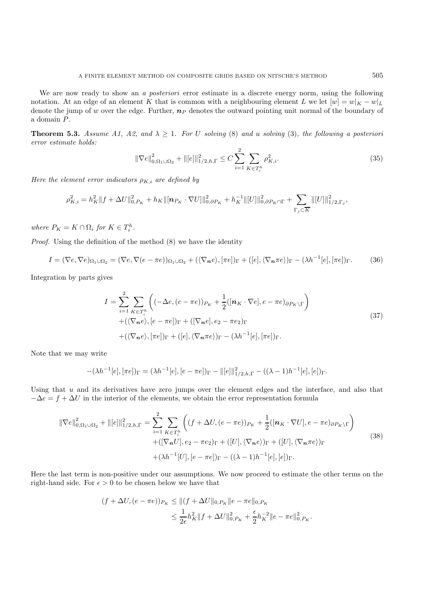We are now ready to show an *a posteriori* error estimate in a discrete energy norm, using the following notation. At an edge of an element K that is common with a neighbouring element L we let  $[w] = w|_K - w|_L$ denote the jump of w over the edge. Further,  $n<sub>P</sub>$  denotes the outward pointing unit normal of the boundary of a domain P.

**Theorem 5.3.** *Assume A1, A2, and*  $\lambda \geq 1$ *. For* U *solving* (8) *and* u *solving* (3)*, the following* a posteriori *error estimate holds:*

$$
\|\nabla e\|_{0,\Omega_1\cup\Omega_2}^2 + \| [e] \|_{1/2,h,\Gamma}^2 \le C \sum_{i=1}^2 \sum_{K \in T_i^h} \rho_{K,i}^2.
$$
 (35)

*Here the element error indicators*  $\rho_{K,i}$  *are defined by* 

$$
\rho_{K,i}^2 = h_K^2 \|f + \Delta U\|_{0,P_K}^2 + h_K \|[{\boldsymbol n}_{P_K}\cdot \nabla U]\|_{0,\partial P_K}^2 + h_K^{-1} \|[U]\|_{0,\partial P_K\cap \Gamma}^2 + \sum_{\Gamma_j\subset \overline{K}} \|[U]\|_{1/2,\Gamma_j}^2,
$$

*where*  $P_K = K \cap \Omega_i$  *for*  $K \in T_i^h$ *.* 

*Proof.* Using the definition of the method  $(8)$  we have the identity

$$
I = (\nabla e, \nabla e)_{\Omega_1 \cup \Omega_2} = (\nabla e, \nabla (e - \pi e))_{\Omega_1 \cup \Omega_2} + (\langle \nabla_n e \rangle, [\pi e])_{\Gamma} + ([e], \langle \nabla_n \pi e \rangle)_{\Gamma} - (\lambda h^{-1}[e], [\pi e])_{\Gamma}.
$$
 (36)

Integration by parts gives

$$
I = \sum_{i=1}^{2} \sum_{K \in T_i^h} \left( (-\Delta e, (e - \pi e))_{P_K} + \frac{1}{2} ([\boldsymbol{n}_K \cdot \nabla e], e - \pi e)_{\partial P_K \backslash \Gamma} \right) + (\langle \nabla_{\boldsymbol{n}} e \rangle, [e - \pi e])_{\Gamma} + ([\nabla_{\boldsymbol{n}} e], e_2 - \pi e_2)_{\Gamma} + (\langle \nabla_{\boldsymbol{n}} e \rangle, [\pi e])_{\Gamma} + ([e], \langle \nabla_{\boldsymbol{n}} \pi e \rangle)_{\Gamma} - (\lambda h^{-1}[e], [\pi e])_{\Gamma}.
$$
\n(37)

Note that we may write

$$
-(\lambda h^{-1}[e], [\pi e])_{\Gamma} = (\lambda h^{-1}[e], [e - \pi e])_{\Gamma} - ||[e]||_{1/2,h,\Gamma}^{2} - ((\lambda - 1)h^{-1}[e], [e])_{\Gamma}.
$$

Using that  $u$  and its derivatives have zero jumps over the element edges and the interface, and also that  $-\Delta e = f + \Delta U$  in the interior of the elements, we obtain the error representation formula

$$
\|\nabla e\|_{0,\Omega_1\cup\Omega_2}^2 + \| [e] \|_{1/2,h,\Gamma}^2 = \sum_{i=1}^2 \sum_{K \in T_i^h} \left( (f + \Delta U, (e - \pi e))_{P_K} + \frac{1}{2} ([\mathbf{n}_K \cdot \nabla U], e - \pi e)_{\partial P_K \backslash \Gamma} \right) + ([\nabla_\mathbf{n} U], e_2 - \pi e_2)_{\Gamma} + ([U], (\nabla_\mathbf{n} e))_{\Gamma} + ([U], (\nabla_\mathbf{n} \pi e))_{\Gamma} + (\lambda h^{-1}[U], [e - \pi e])_{\Gamma} - ((\lambda - 1)h^{-1}[e], [e])_{\Gamma}.
$$
\n(38)

Here the last term is non-positive under our assumptions. We now proceed to estimate the other terms on the right-hand side. For  $\epsilon > 0$  to be chosen below we have that

$$
(f + \Delta U, (e - \pi e))_{P_K} \le ||(f + \Delta U||_{0, P_K} ||e - \pi e||_{0, P_K}
$$
  

$$
\le \frac{1}{2\epsilon} h_K^2 ||f + \Delta U||_{0, P_K}^2 + \frac{\epsilon}{2} h_K^{-2} ||e - \pi e||_{0, P_K}^2.
$$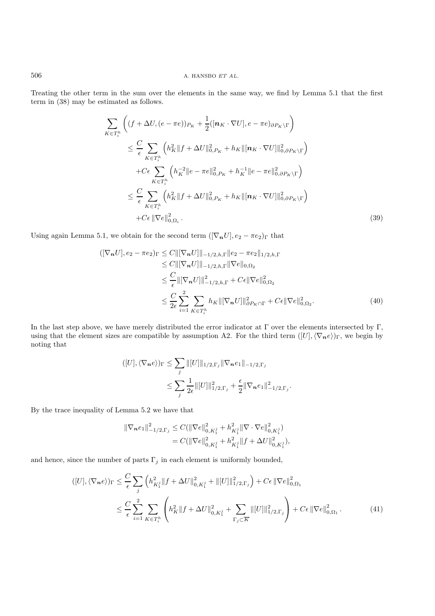Treating the other term in the sum over the elements in the same way, we find by Lemma 5.1 that the first term in (38) may be estimated as follows.

$$
\sum_{K \in T_i^h} \left( (f + \Delta U, (e - \pi e))_{P_K} + \frac{1}{2} ([\boldsymbol{n}_K \cdot \nabla U], e - \pi e)_{\partial P_K \setminus \Gamma} \right)
$$
\n
$$
\leq \frac{C}{\epsilon} \sum_{K \in T_i^h} \left( h_K^2 \| f + \Delta U \|_{0, P_K}^2 + h_K \| [\boldsymbol{n}_K \cdot \nabla U] \|_{0, \partial P_K \setminus \Gamma}^2 \right)
$$
\n
$$
+ C\epsilon \sum_{K \in T_i^h} \left( h_K^{-2} \| e - \pi e \|_{0, P_K}^2 + h_K^{-1} \| e - \pi e \|_{0, \partial P_K \setminus \Gamma}^2 \right)
$$
\n
$$
\leq \frac{C}{\epsilon} \sum_{K \in T_i^h} \left( h_K^2 \| f + \Delta U \|_{0, P_K}^2 + h_K \| [\boldsymbol{n}_K \cdot \nabla U] \|_{0, \partial P_K \setminus \Gamma}^2 \right)
$$
\n
$$
+ C\epsilon \| \nabla e \|_{0, \Omega_i}^2.
$$
\n(39)

Using again Lemma 5.1, we obtain for the second term  $([\nabla_n U], e_2 - \pi e_2)_{\Gamma}$  that

$$
\begin{split} ([\nabla_{\boldsymbol{n}} U], e_{2} - \pi e_{2})_{\Gamma} &\leq C \|[ \nabla_{\boldsymbol{n}} U] \|_{-1/2, h, \Gamma} \| e_{2} - \pi e_{2} \|_{1/2, h, \Gamma} \\ &\leq C \|[ \nabla_{\boldsymbol{n}} U] \|_{-1/2, h, \Gamma} \| \nabla e \|_{0, \Omega_{2}} \\ &\leq \frac{C}{\epsilon} \| [\nabla_{\boldsymbol{n}} U] \|_{-1/2, h, \Gamma}^{2} + C \epsilon \| \nabla e \|_{0, \Omega_{2}}^{2} \\ &\leq \frac{C}{2\epsilon} \sum_{i=1}^{2} \sum_{K \in T_{i}^{h}} h_{K} \| [\nabla_{\boldsymbol{n}} U] \|_{\partial P_{K} \cap \Gamma}^{2} + C \epsilon \| \nabla e \|_{0, \Omega_{2}}^{2} . \end{split} \tag{40}
$$

In the last step above, we have merely distributed the error indicator at  $\Gamma$  over the elements intersected by  $\Gamma$ , using that the element sizes are compatible by assumption A2. For the third term  $([U], \langle \nabla_n e \rangle)_{\Gamma}$ , we begin by noting that

$$
([U], \langle \nabla_n e \rangle)_{\Gamma} \leq \sum_j ||[U]||_{1/2, \Gamma_j} ||\nabla_n e_1||_{-1/2, \Gamma_j} \leq \sum_j \frac{1}{2\epsilon} ||[U]||_{1/2, \Gamma_j}^2 + \frac{\epsilon}{2} ||\nabla_n e_1||_{-1/2, \Gamma_j}^2.
$$

By the trace inequality of Lemma 5.2 we have that

$$
\begin{aligned} \|\nabla_n e_1\|_{-1/2,\Gamma_j}^2 &\leq C(\|\nabla e\|_{0,K_1^j}^2 + h_{K_1^j}^2 \|\nabla \cdot \nabla e\|_{0,K_1^j}^2) \\ &= C(\|\nabla e\|_{0,K_1^j}^2 + h_{K_1^j}^2 \|f + \Delta U\|_{0,K_1^j}^2), \end{aligned}
$$

and hence, since the number of parts  $\Gamma_j$  in each element is uniformly bounded,

$$
([U], \langle \nabla_n e \rangle)_{\Gamma} \leq \frac{C}{\epsilon} \sum_{j} \left( h_{K_1^j}^2 \| f + \Delta U \|_{0, K_1^j}^2 + \| [U] \|_{1/2, \Gamma_j}^2 \right) + C\epsilon \|\nabla e\|_{0, \Omega_1}^2
$$
  

$$
\leq \frac{C}{\epsilon} \sum_{i=1}^2 \sum_{K \in T_i^h} \left( h_K^2 \| f + \Delta U \|_{0, K_1^j}^2 + \sum_{\Gamma_j \subset \overline{K}} \| [U] \|_{1/2, \Gamma_j}^2 \right) + C\epsilon \|\nabla e\|_{0, \Omega_1}^2. \tag{41}
$$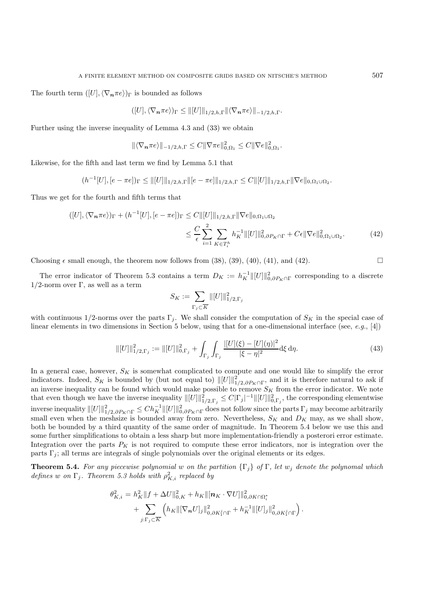The fourth term  $([U], \langle \nabla_n \pi e \rangle)_{\Gamma}$  is bounded as follows

$$
([U], \langle \nabla_{\boldsymbol{n}} \pi e \rangle)_{\Gamma} \leq ||[U]||_{1/2,h,\Gamma} ||\langle \nabla_{\boldsymbol{n}} \pi e \rangle||_{-1/2,h,\Gamma}.
$$

Further using the inverse inequality of Lemma 4.3 and (33) we obtain

$$
\|\langle \nabla_{\mathbf{n}} \pi e \rangle\|_{-1/2,h,\Gamma} \leq C \|\nabla \pi e\|_{0,\Omega_1}^2 \leq C \|\nabla e\|_{0,\Omega_1}^2.
$$

Likewise, for the fifth and last term we find by Lemma 5.1 that

$$
(h^{-1}[U], [e - \pi e])_{\Gamma} \le ||[U]||_{1/2,h,\Gamma} ||[e - \pi e]||_{1/2,h,\Gamma} \le C ||[U]||_{1/2,h,\Gamma} ||\nabla e||_{0,\Omega_1 \cup \Omega_2}.
$$

Thus we get for the fourth and fifth terms that

$$
([U], \langle \nabla_n \pi e \rangle)_{\Gamma} + (h^{-1}[U], [e - \pi e])_{\Gamma} \leq C \|[U]\|_{1/2, h, \Gamma} \|\nabla e\|_{0, \Omega_1 \cup \Omega_2}
$$

$$
\leq \frac{C}{\epsilon} \sum_{i=1}^2 \sum_{K \in T_i^h} h_K^{-1} \|[U]\|_{0, \partial P_K \cap \Gamma}^2 + C\epsilon \|\nabla e\|_{0, \Omega_1 \cup \Omega_2}^2.
$$
(42)

Choosing  $\epsilon$  small enough, the theorem now follows from (38), (39), (40), (41), and (42).

The error indicator of Theorem 5.3 contains a term  $D_K := h_K^{-1} ||[U]||_{0,\partial P_K \cap \Gamma}^2$  corresponding to a discrete  $1/2$ -norm over Γ, as well as a term

$$
S_K := \sum_{\Gamma_j \subset \overline{K}} \| [U] \|_{1/2, \Gamma_j}^2
$$

with continuous 1/2-norms over the parts  $\Gamma_i$ . We shall consider the computation of  $S_K$  in the special case of linear elements in two dimensions in Section 5 below, using that for a one-dimensional interface (see, *e.g.*, [4])

$$
\| [U] \|_{1/2,\Gamma_j}^2 := \| [U] \|_{0,\Gamma_j}^2 + \int_{\Gamma_j} \int_{\Gamma_j} \frac{|[U](\xi) - [U](\eta)|^2}{|\xi - \eta|^2} d\xi \, d\eta. \tag{43}
$$

In a general case, however,  $S_K$  is somewhat complicated to compute and one would like to simplify the error indicators. Indeed,  $S_K$  is bounded by (but not equal to)  $\| [U] \|_{1/2,\partial P_K \cap \Gamma}^2$ , and it is therefore natural to ask if an inverse inequality can be found which would make possible to remove  $S_K$  from the error indicator. We note that even though we have the inverse inequality  $||[U]||_{1/2,\Gamma_j}^2 \leq C|\Gamma_j|^{-1}||[U]||_{0,\Gamma_j}^2$ , the corresponding elementwise  $\text{inverse inequality } ||[U]||_{1/2,\partial P_K \cap \Gamma}^2 \leq Ch_K^{-1} ||[U]||_{0,\partial P_K \cap \Gamma}^2 \text{ does not follow since the parts } \Gamma_j \text{ may become arbitrarily.}$ small even when the meshsize is bounded away from zero. Nevertheless,  $S_K$  and  $D_K$  may, as we shall show, both be bounded by a third quantity of the same order of magnitude. In Theorem 5.4 below we use this and some further simplifications to obtain a less sharp but more implementation-friendly a posterori error estimate. Integration over the parts  $P_K$  is not required to compute these error indicators, nor is integration over the parts  $\Gamma_i$ ; all terms are integrals of single polynomials over the original elements or its edges.

**Theorem 5.4.** *For any piecewise polynomial* w *on the partition*  $\{\Gamma_j\}$  *of*  $\Gamma$ *, let*  $w_j$  *denote the polynomal which defines* w on  $\Gamma_j$ . Theorem 5.3 holds with  $\rho_{K,i}^2$  replaced by

$$
\theta_{K,i}^{2} = h_{K}^{2} ||f + \Delta U||_{0,K}^{2} + h_{K} ||[\boldsymbol{n}_{K} \cdot \nabla U]||_{0,\partial K \cap \Omega_{i}^{*}}^{2} + \sum_{j:\Gamma_{j} \subset \overline{K}} \left( h_{K} ||[\nabla_{\boldsymbol{n}} U]_{j}||_{0,\partial K_{1}^{j} \cap \Gamma}^{2} + h_{K}^{-1} ||[U]_{j}||_{0,\partial K_{1}^{j} \cap \Gamma}^{2} \right).
$$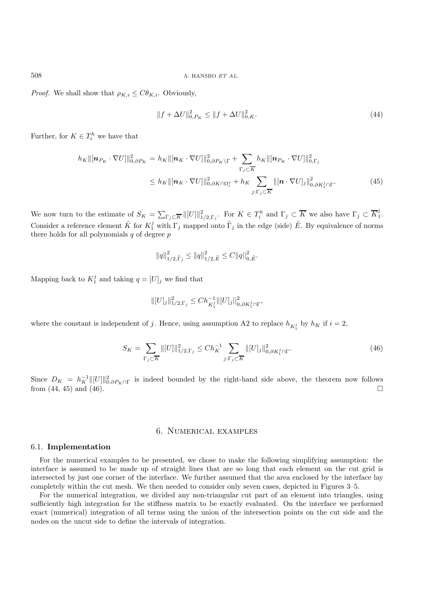*Proof.* We shall show that  $\rho_{K,i} \leq C \theta_{K,i}$ . Obviously,

$$
||f + \Delta U||_{0, P_K}^2 \le ||f + \Delta U||_{0, K}^2. \tag{44}
$$

Further, for  $K \in T_i^h$  we have that

$$
h_K \|\left[\mathbf{n}_{P_K} \cdot \nabla U\right]\|_{0,\partial P_K}^2 = h_K \|\left[\mathbf{n}_K \cdot \nabla U\right]\|_{0,\partial P_K \backslash \Gamma}^2 + \sum_{\Gamma_j \subset \overline{K}} h_K \|\left[\mathbf{n}_{P_K} \cdot \nabla U\right]\|_{0,\Gamma_j}^2
$$
  

$$
\leq h_K \|\left[\mathbf{n}_K \cdot \nabla U\right]\|_{0,\partial K \cap \Omega_i^*}^2 + h_K \sum_{j:\Gamma_j \subset \overline{K}} \|\left[\mathbf{n} \cdot \nabla U\right]_j\|_{0,\partial K_1^j \cap \Gamma}^2. \tag{45}
$$

We now turn to the estimate of  $S_K = \sum_{\Gamma_j \subset \overline{K}} ||[U]||_{1/2,\Gamma_j}^2$ . For  $K \in T_i^h$  and  $\Gamma_j \subset \overline{K}$  we also have  $\Gamma_j \subset \overline{K}_1^j$ . Consider a reference element  $\tilde{K}$  for  $K_1^j$  with  $\Gamma_j$  mapped onto  $\tilde{\Gamma}_j$  in the edge (side)  $\tilde{E}$ . By equivalence of norms there holds for all polynomials  $q$  of degree  $p$ 

$$
||q||_{1/2,\tilde{\Gamma}_j}^2 \le ||q||_{1/2,\tilde{E}}^2 \le C||q||_{0,\tilde{E}}^2.
$$

Mapping back to  $K_1^j$  and taking  $q = [U]_j$  we find that

$$
\| [U]_j \|_{1/2,\Gamma_j}^2 \leq Ch_{K_1^j}^{-1} \| [U]_j \|_{0,\partial K_1^j \cap \Gamma}^2,
$$

where the constant is independent of j. Hence, using assumption A2 to replace  $h_{K_1^j}$  by  $h_K$  if  $i = 2$ ,

$$
S_K = \sum_{\Gamma_j \subset \overline{K}} ||[U]||_{1/2,\Gamma_j}^2 \le Ch_K^{-1} \sum_{j:\Gamma_j \subset \overline{K}} ||[U]_j||_{0,\partial K_1^j \cap \Gamma}^2.
$$
 (46)

Since  $D_K = h_K^{-1} ||[U]||_{0,\partial P_K \cap \Gamma}^2$  is indeed bounded by the right-hand side above, the theorem now follows from  $(44, 45)$  and  $(46)$ .

## 6. Numerical examples

#### 6.1. **Implementation**

For the numerical examples to be presented, we chose to make the following simplifying assumption: the interface is assumed to be made up of straight lines that are so long that each element on the cut grid is intersected by just one corner of the interface. We further assumed that the area enclosed by the interface lay completely within the cut mesh. We then needed to consider only seven cases, depicted in Figures 3–5.

For the numerical integration, we divided any non-triangular cut part of an element into triangles, using sufficiently high integration for the stiffness matrix to be exactly evaluated. On the interface we performed exact (numerical) integration of all terms using the union of the intersection points on the cut side and the nodes on the uncut side to define the intervals of integration.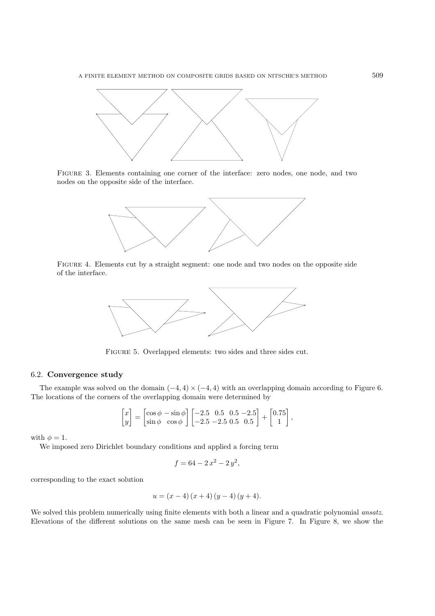

Figure 3. Elements containing one corner of the interface: zero nodes, one node, and two nodes on the opposite side of the interface.



Figure 4. Elements cut by a straight segment: one node and two nodes on the opposite side of the interface.



Figure 5. Overlapped elements: two sides and three sides cut.

### 6.2. **Convergence study**

The example was solved on the domain  $(-4, 4) \times (-4, 4)$  with an overlapping domain according to Figure 6. The locations of the corners of the overlapping domain were determined by

$$
\begin{bmatrix} x \\ y \end{bmatrix} = \begin{bmatrix} \cos \phi & -\sin \phi \\ \sin \phi & \cos \phi \end{bmatrix} \begin{bmatrix} -2.5 & 0.5 & 0.5 & -2.5 \\ -2.5 & -2.5 & 0.5 & 0.5 \end{bmatrix} + \begin{bmatrix} 0.75 \\ 1 \end{bmatrix},
$$

with  $\phi = 1$ .

We imposed zero Dirichlet boundary conditions and applied a forcing term

$$
f = 64 - 2x^2 - 2y^2,
$$

corresponding to the exact solution

$$
u = (x - 4) (x + 4) (y - 4) (y + 4).
$$

We solved this problem numerically using finite elements with both a linear and a quadratic polynomial *ansatz*. Elevations of the different solutions on the same mesh can be seen in Figure 7. In Figure 8, we show the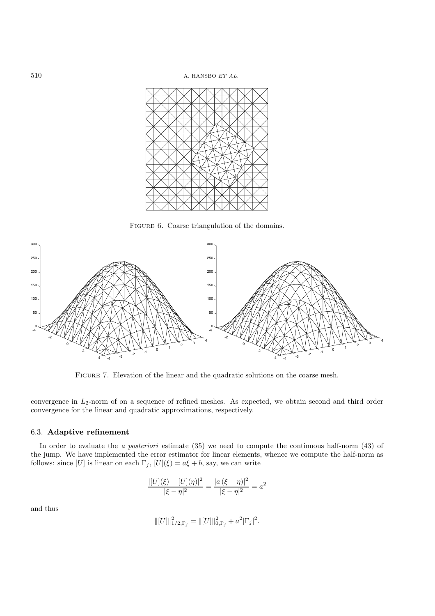

FIGURE 6. Coarse triangulation of the domains.



FIGURE 7. Elevation of the linear and the quadratic solutions on the coarse mesh.

convergence in  $L_2$ -norm of on a sequence of refined meshes. As expected, we obtain second and third order convergence for the linear and quadratic approximations, respectively.

## 6.3. **Adaptive refinement**

In order to evaluate the *a posteriori* estimate (35) we need to compute the continuous half-norm (43) of the jump. We have implemented the error estimator for linear elements, whence we compute the half-norm as follows: since [U] is linear on each  $\Gamma_j$ ,  $[U](\xi) = a\xi + b$ , say, we can write

$$
\frac{|[U](\xi) - [U](\eta)|^2}{|\xi - \eta|^2} = \frac{|a(\xi - \eta)|^2}{|\xi - \eta|^2} = a^2
$$

and thus

$$
\| [U] \|_{1/2,\Gamma_j}^2 = \| [U] \|_{0,\Gamma_j}^2 + a^2 |\Gamma_j|^2.
$$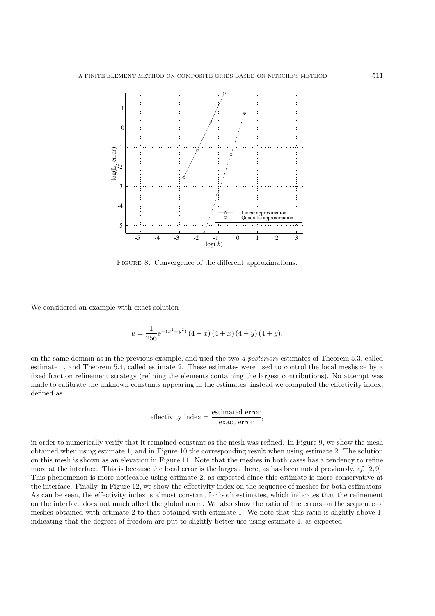

FIGURE 8. Convergence of the different approximations.

We considered an example with exact solution

$$
u = \frac{1}{256} e^{-(x^2 + y^2)} (4 - x) (4 + x) (4 - y) (4 + y),
$$

on the same domain as in the previous example, and used the two *a posteriori* estimates of Theorem 5.3, called estimate 1, and Theorem 5.4, called estimate 2. These estimates were used to control the local meshsize by a fixed fraction refinement strategy (refining the elements containing the largest contributions). No attempt was made to calibrate the unknown constants appearing in the estimates; instead we computed the effectivity index, defined as

$$
effective index = \frac{\text{estimated error}}{\text{exact error}},
$$

in order to numerically verify that it remained constant as the mesh was refined. In Figure 9, we show the mesh obtained when using estimate 1, and in Figure 10 the corresponding result when using estimate 2. The solution on this mesh is shown as an elevation in Figure 11. Note that the meshes in both cases has a tendency to refine more at the interface. This is because the local error is the largest there, as has been noted previously, *cf.* [2,9]. This phenomenon is more noticeable using estimate 2, as expected since this estimate is more conservative at the interface. Finally, in Figure 12, we show the effectivity index on the sequence of meshes for both estimators. As can be seen, the effectivity index is almost constant for both estimates, which indicates that the refinement on the interface does not much affect the global norm. We also show the ratio of the errors on the sequence of meshes obtained with estimate 2 to that obtained with estimate 1. We note that this ratio is slightly above 1, indicating that the degrees of freedom are put to slightly better use using estimate 1, as expected.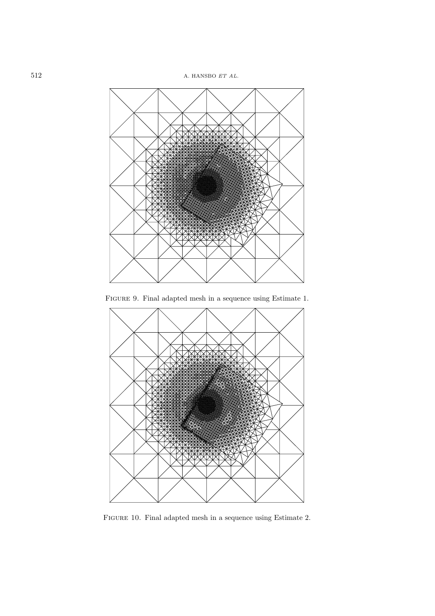

Figure 9. Final adapted mesh in a sequence using Estimate 1.



Figure 10. Final adapted mesh in a sequence using Estimate 2.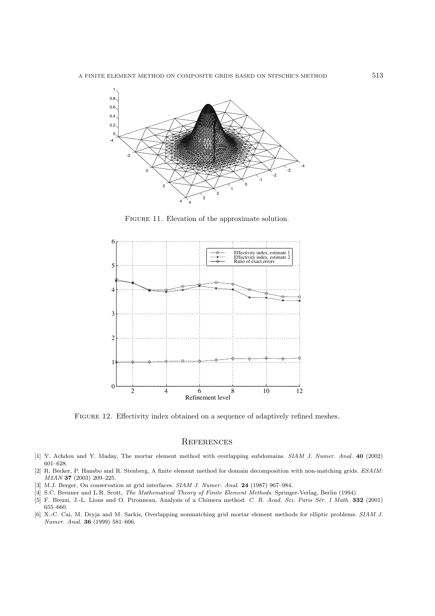

Figure 11. Elevation of the approximate solution.



FIGURE 12. Effectivity index obtained on a sequence of adaptively refined meshes.

# **REFERENCES**

- [1] Y. Achdou and Y. Maday, The mortar element method with overlapping subdomains. *SIAM J. Numer. Anal.* **40** (2002) 601–628.
- [2] R. Becker, P. Hansbo and R. Stenberg, A finite element method for domain decomposition with non-matching grids. *ESAIM: M2AN* **37** (2003) 209–225.
- [3] M.J. Berger, On conservation at grid interfaces. *SIAM J. Numer. Anal.* **24** (1987) 967–984.
- [4] S.C. Brenner and L.R. Scott, *The Mathematical Theory of Finite Element Methods*. Springer-Verlag, Berlin (1994).
- [5] F. Brezzi, J.-L. Lions and O. Pironneau, Analysis of a Chimera method. *C. R. Acad. Sci. Paris S´er. I Math.* **332** (2001) 655–660.
- [6] X.-C. Cai, M. Dryja and M. Sarkis, Overlapping nonmatching grid mortar element methods for elliptic problems. *SIAM J. Numer. Anal.* **36** (1999) 581–606.